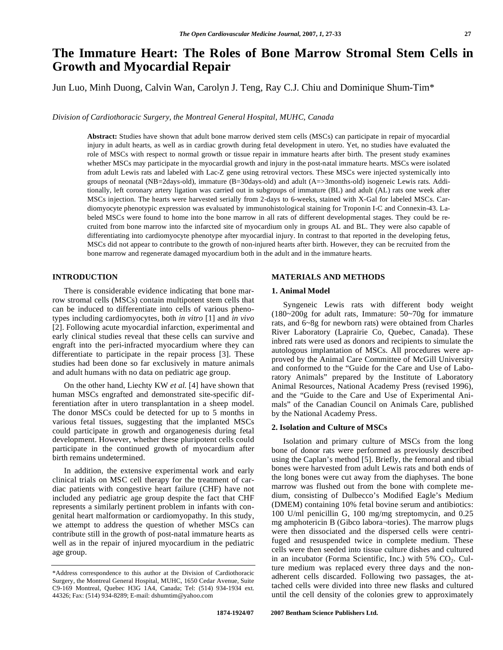# **The Immature Heart: The Roles of Bone Marrow Stromal Stem Cells in Growth and Myocardial Repair**

Jun Luo, Minh Duong, Calvin Wan, Carolyn J. Teng, Ray C.J. Chiu and Dominique Shum-Tim\*

*Division of Cardiothoracic Surgery, the Montreal General Hospital, MUHC, Canada* 

**Abstract:** Studies have shown that adult bone marrow derived stem cells (MSCs) can participate in repair of myocardial injury in adult hearts, as well as in cardiac growth during fetal development in utero. Yet, no studies have evaluated the role of MSCs with respect to normal growth or tissue repair in immature hearts after birth. The present study examines whether MSCs may participate in the myocardial growth and injury in the post-natal immature hearts. MSCs were isolated from adult Lewis rats and labeled with Lac-Z gene using retroviral vectors. These MSCs were injected systemically into groups of neonatal (NB=2days-old), immature (B=30days-old) and adult (A=>3months-old) isogeneic Lewis rats. Additionally, left coronary artery ligation was carried out in subgroups of immature (BL) and adult (AL) rats one week after MSCs injection. The hearts were harvested serially from 2-days to 6-weeks, stained with X-Gal for labeled MSCs. Cardiomyocyte phenotypic expression was evaluated by immunohistological staining for Troponin I-C and Connexin-43. Labeled MSCs were found to home into the bone marrow in all rats of different developmental stages. They could be recruited from bone marrow into the infarcted site of myocardium only in groups AL and BL. They were also capable of differentiating into cardiomyocyte phenotype after myocardial injury. In contrast to that reported in the developing fetus, MSCs did not appear to contribute to the growth of non-injured hearts after birth. However, they can be recruited from the bone marrow and regenerate damaged myocardium both in the adult and in the immature hearts.

# **INTRODUCTION**

 There is considerable evidence indicating that bone marrow stromal cells (MSCs) contain multipotent stem cells that can be induced to differentiate into cells of various phenotypes including cardiomyocytes, both *in vitro* [1] and *in vivo* [2]. Following acute myocardial infarction, experimental and early clinical studies reveal that these cells can survive and engraft into the peri-infracted myocardium where they can differentiate to participate in the repair process [3]. These studies had been done so far exclusively in mature animals and adult humans with no data on pediatric age group.

 On the other hand, Liechty KW *et al.* [4] have shown that human MSCs engrafted and demonstrated site-specific differentiation after in utero transplantation in a sheep model. The donor MSCs could be detected for up to 5 months in various fetal tissues, suggesting that the implanted MSCs could participate in growth and organogenesis during fetal development. However, whether these pluripotent cells could participate in the continued growth of myocardium after birth remains undetermined.

 In addition, the extensive experimental work and early clinical trials on MSC cell therapy for the treatment of cardiac patients with congestive heart failure (CHF) have not included any pediatric age group despite the fact that CHF represents a similarly pertinent problem in infants with congenital heart malformation or cardiomyopathy. In this study, we attempt to address the question of whether MSCs can contribute still in the growth of post-natal immature hearts as well as in the repair of injured myocardium in the pediatric age group.

#### **MATERIALS AND METHODS**

# **1. Animal Model**

 Syngeneic Lewis rats with different body weight (180~200g for adult rats, Immature: 50~70g for immature rats, and 6~8g for newborn rats) were obtained from Charles River Laboratory (Laprairie Co, Quebec, Canada). These inbred rats were used as donors and recipients to simulate the autologous implantation of MSCs. All procedures were approved by the Animal Care Committee of McGill University and conformed to the "Guide for the Care and Use of Laboratory Animals" prepared by the Institute of Laboratory Animal Resources, National Academy Press (revised 1996), and the "Guide to the Care and Use of Experimental Animals" of the Canadian Council on Animals Care, published by the National Academy Press.

# **2. Isolation and Culture of MSCs**

 Isolation and primary culture of MSCs from the long bone of donor rats were performed as previously described using the Caplan's method [5]. Briefly, the femoral and tibial bones were harvested from adult Lewis rats and both ends of the long bones were cut away from the diaphyses. The bone marrow was flushed out from the bone with complete medium, consisting of Dulbecco's Modified Eagle's Medium (DMEM) containing 10% fetal bovine serum and antibiotics: 100 U/ml penicillin G, 100 mg/mg streptomycin, and 0.25 mg amphotericin B (Gibco labora¬tories). The marrow plugs were then dissociated and the dispersed cells were centrifuged and resuspended twice in complete medium. These cells were then seeded into tissue culture dishes and cultured in an incubator (Forma Scientific, Inc.) with  $5\%$  CO<sub>2</sub>. Culture medium was replaced every three days and the nonadherent cells discarded. Following two passages, the attached cells were divided into three new flasks and cultured until the cell density of the colonies grew to approximately

<sup>\*</sup>Address correspondence to this author at the Division of Cardiothoracic Surgery, the Montreal General Hospital, MUHC, 1650 Cedar Avenue, Suite C9-169 Montreal, Quebec H3G 1A4, Canada; Tel: (514) 934-1934 ext. 44326; Fax: (514) 934-8289; E-mail: dshumtim@yahoo.com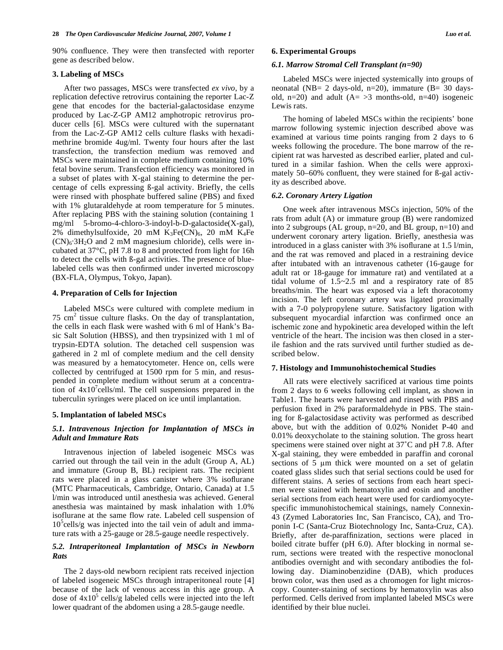90% confluence. They were then transfected with reporter gene as described below.

# **3. Labeling of MSCs**

 After two passages, MSCs were transfected *ex vivo*, by a replication defective retrovirus containing the reporter Lac-Z gene that encodes for the bacterial-galactosidase enzyme produced by Lac-Z-GP AM12 amphotropic retrovirus producer cells [6]. MSCs were cultured with the supernatant from the Lac-Z-GP AM12 cells culture flasks with hexadimethrine bromide 4ug/ml. Twenty four hours after the last transfection, the transfection medium was removed and MSCs were maintained in complete medium containing 10% fetal bovine serum. Transfection efficiency was monitored in a subset of plates with X-gal staining to determine the percentage of cells expressing ß-gal activity. Briefly, the cells were rinsed with phosphate buffered saline (PBS) and fixed with 1% glutaraldehyde at room temperature for 5 minutes. After replacing PBS with the staining solution (containing 1 mg/ml 5-bromo-4-chloro-3-indoyl-b-D-galactoside(X-gal), 2% dimethylsulfoxide, 20 mM  $K_3Fe(CN)_6$ , 20 mM  $K_4Fe$  $(CN)_6$ : $3H_2O$  and 2 mM magnesium chloride), cells were incubated at 37°C, pH 7.8 to 8 and protected from light for 16h to detect the cells with ß-gal activities. The presence of bluelabeled cells was then confirmed under inverted microscopy (BX-FLA, Olympus, Tokyo, Japan).

#### **4. Preparation of Cells for Injection**

 Labeled MSCs were cultured with complete medium in 75 cm<sup>2</sup> tissue culture flasks. On the day of transplantation, the cells in each flask were washed with 6 ml of Hank's Basic Salt Solution (HBSS), and then trypsinized with 1 ml of trypsin-EDTA solution. The detached cell suspension was gathered in 2 ml of complete medium and the cell density was measured by a hematocytometer. Hence on, cells were collected by centrifuged at 1500 rpm for 5 min, and resuspended in complete medium without serum at a concentration of  $4x10^7$  cells/ml. The cell suspensions prepared in the tuberculin syringes were placed on ice until implantation.

### **5. Implantation of labeled MSCs**

# *5.1. Intravenous Injection for Implantation of MSCs in Adult and Immature Rats*

 Intravenous injection of labeled isogeneic MSCs was carried out through the tail vein in the adult (Group A, AL) and immature (Group B, BL) recipient rats. The recipient rats were placed in a glass canister where 3% isoflurane (MTC Pharmaceuticals, Cambridge, Ontario, Canada) at 1.5 l/min was introduced until anesthesia was achieved. General anesthesia was maintained by mask inhalation with 1.0% isoflurane at the same flow rate. Labeled cell suspension of 10<sup>5</sup>cells/g was injected into the tail vein of adult and immature rats with a 25-gauge or 28.5-gauge needle respectively.

# *5.2. Intraperitoneal Implantation of MSCs in Newborn Rats*

 The 2 days-old newborn recipient rats received injection of labeled isogeneic MSCs through intraperitoneal route [4] because of the lack of venous access in this age group. A dose of  $4x10^5$  cells/g labeled cells were injected into the left lower quadrant of the abdomen using a 28.5-gauge needle.

#### **6. Experimental Groups**

#### *6.1. Marrow Stromal Cell Transplant (n=90)*

 Labeled MSCs were injected systemically into groups of neonatal (NB= 2 days-old, n=20), immature (B= 30 daysold, n=20) and adult  $(A= >3$  months-old, n=40) isogeneic Lewis rats.

 The homing of labeled MSCs within the recipients' bone marrow following systemic injection described above was examined at various time points ranging from 2 days to 6 weeks following the procedure. The bone marrow of the recipient rat was harvested as described earlier, plated and cultured in a similar fashion. When the cells were approximately 50–60% confluent, they were stained for ß-gal activity as described above.

#### *6.2. Coronary Artery Ligation*

 One week after intravenous MSCs injection, 50% of the rats from adult (A) or immature group (B) were randomized into 2 subgroups (AL group, n=20, and BL group, n=10) and underwent coronary artery ligation. Briefly, anesthesia was introduced in a glass canister with 3% isoflurane at 1.5 l/min, and the rat was removed and placed in a restraining device after intubated with an intravenous catheter (16-gauge for adult rat or 18-gauge for immature rat) and ventilated at a tidal volume of 1.5~2.5 ml and a respiratory rate of 85 breaths/min. The heart was exposed via a left thoracotomy incision. The left coronary artery was ligated proximally with a 7-0 polypropylene suture. Satisfactory ligation with subsequent myocardial infarction was confirmed once an ischemic zone and hypokinetic area developed within the left ventricle of the heart. The incision was then closed in a sterile fashion and the rats survived until further studied as described below.

#### **7. Histology and Immunohistochemical Studies**

 All rats were electively sacrificed at various time points from 2 days to 6 weeks following cell implant, as shown in Table1. The hearts were harvested and rinsed with PBS and perfusion fixed in 2% paraformaldehyde in PBS. The staining for ß-galactosidase activity was performed as described above, but with the addition of 0.02% Nonidet P-40 and 0.01% deoxycholate to the staining solution. The gross heart specimens were stained over night at 37˚C and pH 7.8. After X-gal staining, they were embedded in paraffin and coronal sections of 5 µm thick were mounted on a set of gelatin coated glass slides such that serial sections could be used for different stains. A series of sections from each heart specimen were stained with hematoxylin and eosin and another serial sections from each heart were used for cardiomyocytespecific immunohistochemical stainings, namely Connexin-43 (Zymed Laboratories Inc, San Francisco, CA), and Troponin I-C (Santa-Cruz Biotechnology Inc, Santa-Cruz, CA). Briefly, after de-paraffinization, sections were placed in boiled citrate buffer (pH 6.0). After blocking in normal serum, sections were treated with the respective monoclonal antibodies overnight and with secondary antibodies the following day. Diaminobenzidine (DAB), which produces brown color, was then used as a chromogen for light microscopy. Counter-staining of sections by hematoxylin was also performed. Cells derived from implanted labeled MSCs were identified by their blue nuclei.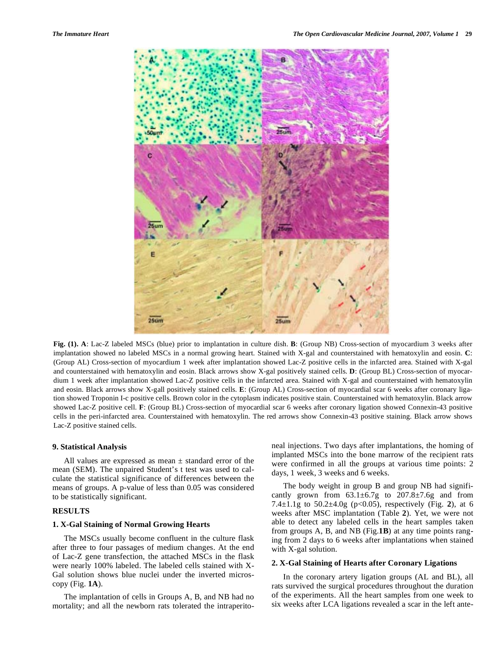

**Fig. (1). A**: Lac-Z labeled MSCs (blue) prior to implantation in culture dish. **B**: (Group NB) Cross-section of myocardium 3 weeks after implantation showed no labeled MSCs in a normal growing heart. Stained with X-gal and counterstained with hematoxylin and eosin. **C**: (Group AL) Cross-section of myocardium 1 week after implantation showed Lac-Z positive cells in the infarcted area. Stained with X-gal and counterstained with hematoxylin and eosin. Black arrows show X-gal positively stained cells. **D**: (Group BL) Cross-section of myocardium 1 week after implantation showed Lac-Z positive cells in the infarcted area. Stained with X-gal and counterstained with hematoxylin and eosin. Black arrows show X-gall positively stained cells. **E**: (Group AL) Cross-section of myocardial scar 6 weeks after coronary ligation showed Troponin I-c positive cells. Brown color in the cytoplasm indicates positive stain. Counterstained with hematoxylin. Black arrow showed Lac-Z positive cell. **F**: (Group BL) Cross-section of myocardial scar 6 weeks after coronary ligation showed Connexin-43 positive cells in the peri-infarcted area. Counterstained with hematoxylin. The red arrows show Connexin-43 positive staining. Black arrow shows Lac-Z positive stained cells.

#### **9. Statistical Analysis**

All values are expressed as mean  $\pm$  standard error of the mean (SEM). The unpaired Student's t test was used to calculate the statistical significance of differences between the means of groups. A p-value of less than 0.05 was considered to be statistically significant.

# **RESULTS**

### **1. X-Gal Staining of Normal Growing Hearts**

 The MSCs usually become confluent in the culture flask after three to four passages of medium changes. At the end of Lac-Z gene transfection, the attached MSCs in the flask were nearly 100% labeled. The labeled cells stained with X-Gal solution shows blue nuclei under the inverted microscopy (Fig. **1A**).

 The implantation of cells in Groups A, B, and NB had no mortality; and all the newborn rats tolerated the intraperitoneal injections. Two days after implantations, the homing of implanted MSCs into the bone marrow of the recipient rats were confirmed in all the groups at various time points: 2 days, 1 week, 3 weeks and 6 weeks.

 The body weight in group B and group NB had significantly grown from  $63.1 \pm 6.7$ g to  $207.8 \pm 7.6$ g and from 7.4±1.1g to 50.2±4.0g (p<0.05), respectively (Fig. **2**), at 6 weeks after MSC implantation (Table **2**). Yet, we were not able to detect any labeled cells in the heart samples taken from groups A, B, and NB (Fig.**1B**) at any time points ranging from 2 days to 6 weeks after implantations when stained with X-gal solution.

# **2. X-Gal Staining of Hearts after Coronary Ligations**

 In the coronary artery ligation groups (AL and BL), all rats survived the surgical procedures throughout the duration of the experiments. All the heart samples from one week to six weeks after LCA ligations revealed a scar in the left ante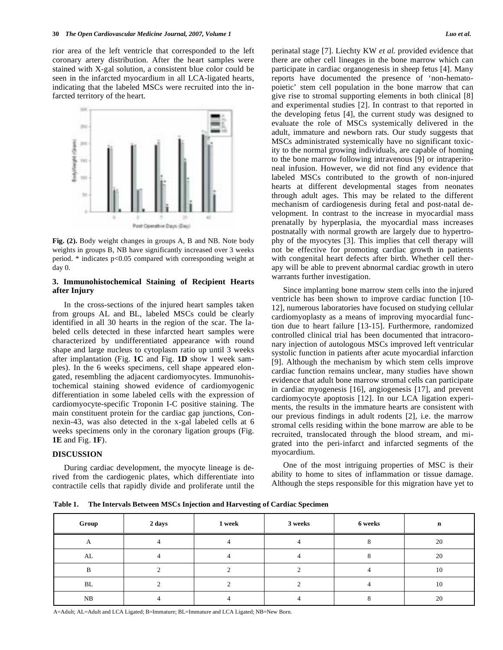rior area of the left ventricle that corresponded to the left coronary artery distribution. After the heart samples were stained with X-gal solution, a consistent blue color could be seen in the infarcted myocardium in all LCA-ligated hearts, indicating that the labeled MSCs were recruited into the infarcted territory of the heart.



**Fig. (2).** Body weight changes in groups A, B and NB. Note body weights in groups B, NB have significantly increased over 3 weeks period. \* indicates p<0.05 compared with corresponding weight at day 0.

# **3. Immunohistochemical Staining of Recipient Hearts after Injury**

 In the cross-sections of the injured heart samples taken from groups AL and BL, labeled MSCs could be clearly identified in all 30 hearts in the region of the scar. The labeled cells detected in these infarcted heart samples were characterized by undifferentiated appearance with round shape and large nucleus to cytoplasm ratio up until 3 weeks after implantation (Fig. **1C** and Fig. **1D** show 1 week samples). In the 6 weeks specimens, cell shape appeared elongated, resembling the adjacent cardiomyocytes. Immunohistochemical staining showed evidence of cardiomyogenic differentiation in some labeled cells with the expression of cardiomyocyte-specific Troponin I-C positive staining. The main constituent protein for the cardiac gap junctions, Connexin-43, was also detected in the x-gal labeled cells at 6 weeks specimens only in the coronary ligation groups (Fig. **1E** and Fig. **1F**).

### **DISCUSSION**

 During cardiac development, the myocyte lineage is derived from the cardiogenic plates, which differentiate into contractile cells that rapidly divide and proliferate until the perinatal stage [7]. Liechty KW *et al.* provided evidence that there are other cell lineages in the bone marrow which can participate in cardiac organogenesis in sheep fetus [4]. Many reports have documented the presence of 'non-hematopoietic' stem cell population in the bone marrow that can give rise to stromal supporting elements in both clinical [8] and experimental studies [2]. In contrast to that reported in the developing fetus [4], the current study was designed to evaluate the role of MSCs systemically delivered in the adult, immature and newborn rats. Our study suggests that MSCs administrated systemically have no significant toxicity to the normal growing individuals, are capable of homing to the bone marrow following intravenous [9] or intraperitoneal infusion. However, we did not find any evidence that labeled MSCs contributed to the growth of non-injured hearts at different developmental stages from neonates through adult ages. This may be related to the different mechanism of cardiogenesis during fetal and post-natal development. In contrast to the increase in myocardial mass prenatally by hyperplasia, the myocardial mass increases postnatally with normal growth are largely due to hypertrophy of the myocytes [3]. This implies that cell therapy will not be effective for promoting cardiac growth in patients with congenital heart defects after birth. Whether cell therapy will be able to prevent abnormal cardiac growth in utero warrants further investigation.

 Since implanting bone marrow stem cells into the injured ventricle has been shown to improve cardiac function [10- 12], numerous laboratories have focused on studying cellular cardiomyoplasty as a means of improving myocardial function due to heart failure [13-15]. Furthermore, randomized controlled clinical trial has been documented that intracoronary injection of autologous MSCs improved left ventricular systolic function in patients after acute myocardial infarction [9]. Although the mechanism by which stem cells improve cardiac function remains unclear, many studies have shown evidence that adult bone marrow stromal cells can participate in cardiac myogenesis [16], angiogenesis [17], and prevent cardiomyocyte apoptosis [12]. In our LCA ligation experiments, the results in the immature hearts are consistent with our previous findings in adult rodents [2], i.e. the marrow stromal cells residing within the bone marrow are able to be recruited, translocated through the blood stream, and migrated into the peri-infarct and infarcted segments of the myocardium.

 One of the most intriguing properties of MSC is their ability to home to sites of inflammation or tissue damage. Although the steps responsible for this migration have yet to

**Table 1. The Intervals Between MSCs Injection and Harvesting of Cardiac Specimen** 

| Group | 2 days | 1 week | 3 weeks | 6 weeks | n  |
|-------|--------|--------|---------|---------|----|
|       |        |        |         |         | 20 |
| AL    |        |        |         |         | 20 |
|       |        |        |         |         | 10 |
| BL    |        |        |         |         | 10 |
| NB    |        |        |         |         | 20 |

A=Adult; AL=Adult and LCA Ligated; B=Immature; BL=Immature and LCA Ligated; NB=New Born.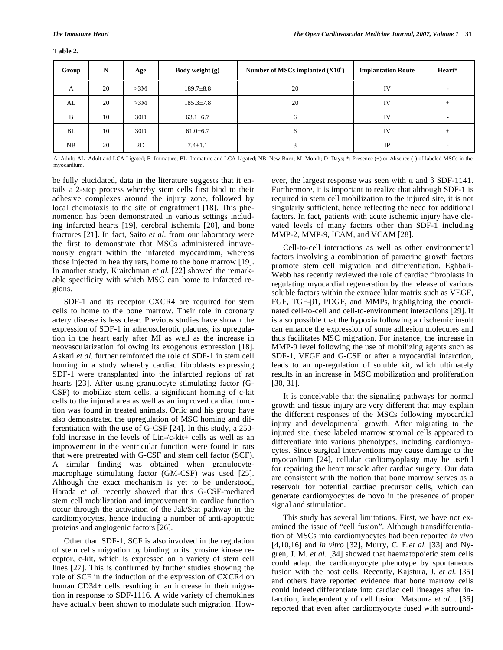**Table 2.** 

| Group | N  | Age | Body weight $(g)$ | Number of MSCs implanted $(X10^6)$ | <b>Implantation Route</b> | Heart* |
|-------|----|-----|-------------------|------------------------------------|---------------------------|--------|
| A     | 20 | >3M | $189.7 \pm 8.8$   | 20                                 | IV                        |        |
| AL    | 20 | >3M | $185.3 \pm 7.8$   | 20                                 | IV                        | $^{+}$ |
| B     | 10 | 30D | $63.1 \pm 6.7$    | 6                                  | IV                        |        |
| BL    | 10 | 30D | $61.0 \pm 6.7$    | 6                                  | <b>IV</b>                 | $^{+}$ |
| NB    | 20 | 2D  | $7.4 \pm 1.1$     |                                    | <b>IP</b>                 |        |

A=Adult; AL=Adult and LCA Ligated; B=Immature; BL=Immature and LCA Ligated; NB=New Born; M=Month; D=Days; \*: Presence (+) or Absence (-) of labeled MSCs in the myocardium.

be fully elucidated, data in the literature suggests that it entails a 2-step process whereby stem cells first bind to their adhesive complexes around the injury zone, followed by local chemotaxis to the site of engraftment [18]. This phenomenon has been demonstrated in various settings including infarcted hearts [19], cerebral ischemia [20], and bone fractures [21]. In fact, Saito *et al.* from our laboratory were the first to demonstrate that MSCs administered intravenously engraft within the infarcted myocardium, whereas those injected in healthy rats, home to the bone marrow [19]. In another study, Kraitchman *et al.* [22] showed the remarkable specificity with which MSC can home to infarcted regions.

 SDF-1 and its receptor CXCR4 are required for stem cells to home to the bone marrow. Their role in coronary artery disease is less clear. Previous studies have shown the expression of SDF-1 in atherosclerotic plaques, its upregulation in the heart early after MI as well as the increase in neovascularization following its exogenous expression [18]. Askari *et al.* further reinforced the role of SDF-1 in stem cell homing in a study whereby cardiac fibroblasts expressing SDF-1 were transplanted into the infarcted regions of rat hearts [23]. After using granulocyte stimulating factor (G-CSF) to mobilize stem cells, a significant homing of c-kit cells to the injured area as well as an improved cardiac function was found in treated animals. Orlic and his group have also demonstrated the upregulation of MSC homing and differentiation with the use of G-CSF [24]. In this study, a 250 fold increase in the levels of Lin-/c-kit+ cells as well as an improvement in the ventricular function were found in rats that were pretreated with G-CSF and stem cell factor (SCF). A similar finding was obtained when granulocytemacrophage stimulating factor (GM-CSF) was used [25]. Although the exact mechanism is yet to be understood, Harada *et al.* recently showed that this G-CSF-mediated stem cell mobilization and improvement in cardiac function occur through the activation of the Jak/Stat pathway in the cardiomyocytes, hence inducing a number of anti-apoptotic proteins and angiogenic factors [26].

 Other than SDF-1, SCF is also involved in the regulation of stem cells migration by binding to its tyrosine kinase receptor, c-kit, which is expressed on a variety of stem cell lines [27]. This is confirmed by further studies showing the role of SCF in the induction of the expression of CXCR4 on human CD34+ cells resulting in an increase in their migration in response to SDF-1116. A wide variety of chemokines have actually been shown to modulate such migration. How-

ever, the largest response was seen with  $\alpha$  and  $\beta$  SDF-1141. Furthermore, it is important to realize that although SDF-1 is required in stem cell mobilization to the injured site, it is not singularly sufficient, hence reflecting the need for additional factors. In fact, patients with acute ischemic injury have elevated levels of many factors other than SDF-1 including MMP-2, MMP-9, ICAM, and VCAM [28].

 Cell-to-cell interactions as well as other environmental factors involving a combination of paracrine growth factors promote stem cell migration and differentiation. Eghbali-Webb has recently reviewed the role of cardiac fibroblasts in regulating myocardial regeneration by the release of various soluble factors within the extracellular matrix such as VEGF, FGF, TGF- $\beta$ 1, PDGF, and MMPs, highlighting the coordinated cell-to-cell and cell-to-environment interactions [29]. It is also possible that the hypoxia following an ischemic insult can enhance the expression of some adhesion molecules and thus facilitates MSC migration. For instance, the increase in MMP-9 level following the use of mobilizing agents such as SDF-1, VEGF and G-CSF or after a myocardial infarction, leads to an up-regulation of soluble kit, which ultimately results in an increase in MSC mobilization and proliferation [30, 31].

 It is conceivable that the signaling pathways for normal growth and tissue injury are very different that may explain the different responses of the MSCs following myocardial injury and developmental growth. After migrating to the injured site, these labeled marrow stromal cells appeared to differentiate into various phenotypes, including cardiomyocytes. Since surgical interventions may cause damage to the myocardium [24], cellular cardiomyoplasty may be useful for repairing the heart muscle after cardiac surgery. Our data are consistent with the notion that bone marrow serves as a reservoir for potential cardiac precursor cells, which can generate cardiomyocytes de novo in the presence of proper signal and stimulation.

 This study has several limitations. First, we have not examined the issue of "cell fusion". Although transdifferentiation of MSCs into cardiomyocytes had been reported *in vivo* [4,10,16] and *in vitro* [32], Murry, C. E.*et al.* [33] and Nygren, J. M. *et al.* [34] showed that haematopoietic stem cells could adapt the cardiomyocyte phenotype by spontaneous fusion with the host cells. Recently, Kajstura, J. *et al.* [35] and others have reported evidence that bone marrow cells could indeed differentiate into cardiac cell lineages after infarction, independently of cell fusion. Matsuura *et al.* . [36] reported that even after cardiomyocyte fused with surround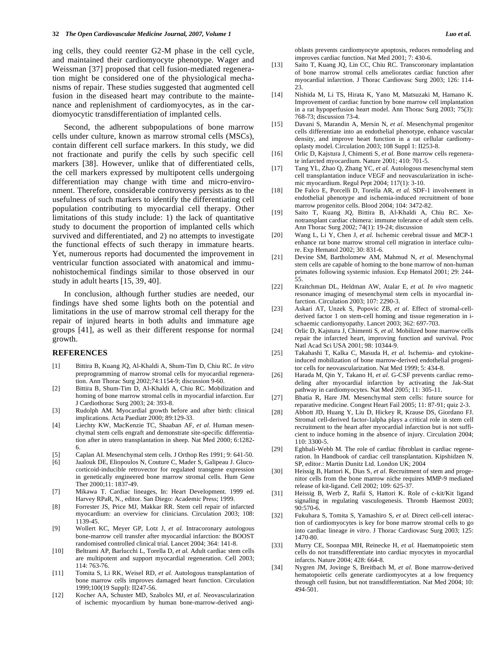ing cells, they could reenter G2-M phase in the cell cycle, and maintained their cardiomyocyte phenotype. Wager and Weissman [37] proposed that cell fusion-mediated regeneration might be considered one of the physiological mechanisms of repair. These studies suggested that augmented cell fusion in the diseased heart may contribute to the maintenance and replenishment of cardiomyocytes, as in the cardiomyocytic transdifferentiation of implanted cells.

 Second, the adherent subpopulations of bone marrow cells under culture, known as marrow stromal cells (MSCs), contain different cell surface markers. In this study, we did not fractionate and purify the cells by such specific cell markers [38]. However, unlike that of differentiated cells, the cell markers expressed by multipotent cells undergoing differentiation may change with time and micro-environment. Therefore, considerable controversy persists as to the usefulness of such markers to identify the differentiating cell population contributing to myocardial cell therapy. Other limitations of this study include: 1) the lack of quantitative study to document the proportion of implanted cells which survived and differentiated, and 2) no attempts to investigate the functional effects of such therapy in immature hearts. Yet, numerous reports had documented the improvement in ventricular function associated with anatomical and immunohistochemical findings similar to those observed in our study in adult hearts [15, 39, 40].

 In conclusion, although further studies are needed, our findings have shed some lights both on the potential and limitations in the use of marrow stromal cell therapy for the repair of injured hearts in both adults and immature age groups [41], as well as their different response for normal growth.

### **REFERENCES**

- [1] Bittira B, Kuang JQ, Al-Khaldi A, Shum-Tim D, Chiu RC. *In vitro* preprogramming of marrow stromal cells for myocardial regeneration. Ann Thorac Surg 2002;74:1154-9; discussion 9-60.
- [2] Bittira B, Shum-Tim D, Al-Khaldi A, Chiu RC. Mobilization and homing of bone marrow stromal cells in myocardial infarction. Eur J Cardiothorac Surg 2003; 24: 393-8.
- [3] Rudolph AM. Myocardial growth before and after birth: clinical implications. Acta Paediatr 2000; 89:129-33.
- [4] Liechty KW, MacKenzie TC, Shaaban AF, *et al.* Human mesenchymal stem cells engraft and demonstrate site-specific differentiation after in utero transplantation in sheep. Nat Med 2000; 6:1282- 6.
- [5] Caplan AI. Mesenchymal stem cells. J Orthop Res 1991; 9: 641-50.
- [6] Jaalouk DE, Eliopoulos N, Couture C, Mader S, Galipeau J. Glucocorticoid-inducible retrovector for regulated transgene expression in genetically engineered bone marrow stromal cells. Hum Gene Ther 2000;11: 1837-49.
- [7] Mikawa T. Cardiac lineages, In: Heart Development. 1999 ed. Harvey RPaR, N., editor. San Diego: Academic Press; 1999.
- [8] Forrester JS, Price MJ, Makkar RR. Stem cell repair of infarcted myocardium: an overview for clinicians. Circulation 2003; 108: 1139-45.
- [9] Wollert KC, Meyer GP, Lotz J, *et al.* Intracoronary autologous bone-marrow cell transfer after myocardial infarction: the BOOST randomised controlled clinical trial. Lancet 2004; 364: 141-8.
- [10] Beltrami AP, Barlucchi L, Torella D, *et al.* Adult cardiac stem cells are multipotent and support myocardial regeneration. Cell 2003; 114: 763-76.
- [11] Tomita S, Li RK, Weisel RD, *et al.* Autologous transplantation of bone marrow cells improves damaged heart function. Circulation 1999;100(19 Suppl): II247-56.
- [12] Kocher AA, Schuster MD, Szabolcs MJ, *et al.* Neovascularization of ischemic myocardium by human bone-marrow-derived angi-

oblasts prevents cardiomyocyte apoptosis, reduces remodeling and improves cardiac function. Nat Med 2001; 7: 430-6.

- [13] Saito T, Kuang JQ, Lin CC, Chiu RC. Transcoronary implantation of bone marrow stromal cells ameliorates cardiac function after myocardial infarction. J Thorac Cardiovasc Surg 2003; 126: 114- 23.
- [14] Nishida M, Li TS, Hirata K, Yano M, Matsuzaki M, Hamano K. Improvement of cardiac function by bone marrow cell implantation in a rat hypoperfusion heart model. Ann Thorac Surg 2003; 75(3): 768-73; discussion 73-4.
- [15] Davani S, Marandin A, Mersin N, *et al.* Mesenchymal progenitor cells differentiate into an endothelial phenotype, enhance vascular density, and improve heart function in a rat cellular cardiomyoplasty model. Circulation 2003; 108 Suppl 1: II253-8.
- [16] Orlic D, Kajstura J, Chimenti S, et al. Bone marrow cells regenerate infarcted myocardium. Nature 2001; 410: 701-5.
- [17] Tang YL, Zhao Q, Zhang YC, *et al.* Autologous mesenchymal stem cell transplantation induce VEGF and neovascularization in ischemic myocardium. Regul Pept 2004; 117(1): 3-10.
- [18] De Falco E, Porcelli D, Torella AR, *et al.* SDF-1 involvement in endothelial phenotype and ischemia-induced recruitment of bone marrow progenitor cells. Blood 2004; 104: 3472-82.
- [19] Saito T, Kuang JQ, Bittira B, Al-Khaldi A, Chiu RC. Xenotransplant cardiac chimera: immune tolerance of adult stem cells. Ann Thorac Surg 2002; 74(1): 19-24; discussion
- [20] Wang L, Li Y, Chen J, *et al.* Ischemic cerebral tissue and MCP-1 enhance rat bone marrow stromal cell migration in interface culture. Exp Hematol 2002; 30: 831-6.
- [21] Devine SM, Bartholomew AM, Mahmud N, *et al.* Mesenchymal stem cells are capable of homing to the bone marrow of non-human primates following systemic infusion. Exp Hematol 2001; 29: 244- 55.
- [22] Kraitchman DL, Heldman AW, Atalar E, *et al. In vivo* magnetic resonance imaging of mesenchymal stem cells in myocardial infarction. Circulation 2003; 107: 2290-3.
- [23] Askari AT, Unzek S, Popovic ZB, *et al.* Effect of stromal-cellderived factor 1 on stem-cell homing and tissue regeneration in ischaemic cardiomyopathy. Lancet 2003; 362: 697-703.
- [24] Orlic D, Kajstura J, Chimenti S, *et al.* Mobilized bone marrow cells repair the infarcted heart, improving function and survival. Proc Natl Acad Sci USA 2001; 98: 10344-9.
- [25] Takahashi T, Kalka C, Masuda H, *et al.* Ischemia- and cytokineinduced mobilization of bone marrow-derived endothelial progenitor cells for neovascularization. Nat Med 1999; 5: 434-8.
- [26] Harada M, Qin Y, Takano H, *et al.* G-CSF prevents cardiac remodeling after myocardial infarction by activating the Jak-Stat pathway in cardiomyocytes. Nat Med 2005; 11: 305-11.
- [27] Bhatia R, Hare JM. Mesenchymal stem cells: future source for reparative medicine. Congest Heart Fail 2005; 11: 87-91; quiz 2-3.
- [28] Abbott JD, Huang Y, Liu D, Hickey R, Krause DS, Giordano FJ. Stromal cell-derived factor-1alpha plays a critical role in stem cell recruitment to the heart after myocardial infarction but is not sufficient to induce homing in the absence of injury. Circulation 2004; 110: 3300-5.
- [29] Eghbali-Webb M. The role of cardiac fibroblast in cardiac regeneration. In Handbook of cardiac cell transplantation. Kipshidzen N. SP, editor.: Martin Dunitz Ltd. London UK; 2004
- [30] Heissig B, Hattori K, Dias S, *et al.* Recruitment of stem and progenitor cells from the bone marrow niche requires MMP-9 mediated release of kit-ligand. Cell 2002; 109: 625-37.
- [31] Heissig B, Werb Z, Rafii S, Hattori K. Role of c-kit/Kit ligand signaling in regulating vasculogenesis. Thromb Haemost 2003;  $90:570-6.$
- [32] Fukuhara S, Tomita S, Yamashiro S, *et al.* Direct cell-cell interaction of cardiomyocytes is key for bone marrow stromal cells to go into cardiac lineage *in vitro*. J Thorac Cardiovasc Surg 2003; 125: 1470-80.
- [33] Murry CE, Soonpaa MH, Reinecke H, et al. Haematopoietic stem cells do not transdifferentiate into cardiac myocytes in myocardial infarcts. Nature 2004; 428: 664-8.
- [34] Nygren JM, Jovinge S, Breitbach M, *et al.* Bone marrow-derived hematopoietic cells generate cardiomyocytes at a low frequency through cell fusion, but not transdifferentiation. Nat Med 2004; 10: 494-501.